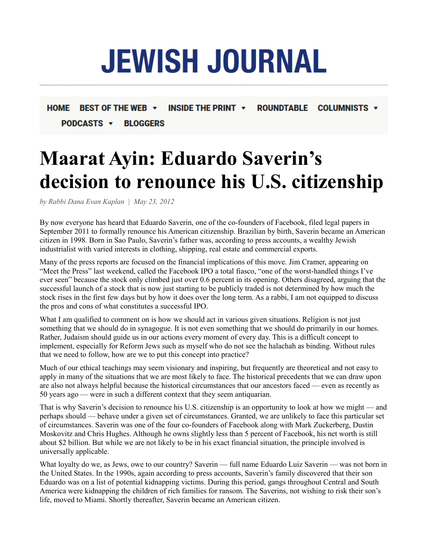## **JEWISH JOURNAL**

## HOME BEST OF THE WEB  $\rightarrow$ INSIDE THE PRINT  $\rightarrow$ **ROUNDTABLE COLUMNISTS v PODCASTS**  $\rightarrow$ **BLOGGERS**

## **Maarat Ayin: Eduardo Saverin's decision to renounce his U.S. citizenship**

*by Rabbi Dana Evan Kaplan | May 23, 2012*

By now everyone has heard that Eduardo Saverin, one of the co-founders of Facebook, filed legal papers in September 2011 to formally renounce his American citizenship. Brazilian by birth, Saverin became an American citizen in 1998. Born in Sao Paulo, Saverin's father was, according to press accounts, a wealthy Jewish industrialist with varied interests in clothing, shipping, real estate and commercial exports.

Many of the press reports are focused on the financial implications of this move. Jim Cramer, appearing on "Meet the Press" last weekend, called the Facebook IPO a total fiasco, "one of the worst-handled things I've ever seen" because the stock only climbed just over 0.6 percent in its opening. Others disagreed, arguing that the successful launch of a stock that is now just starting to be publicly traded is not determined by how much the stock rises in the first few days but by how it does over the long term. As a rabbi, I am not equipped to discuss the pros and cons of what constitutes a successful IPO.

What I am qualified to comment on is how we should act in various given situations. Religion is not just something that we should do in synagogue. It is not even something that we should do primarily in our homes. Rather, Judaism should guide us in our actions every moment of every day. This is a difficult concept to implement, especially for Reform Jews such as myself who do not see the halachah as binding. Without rules that we need to follow, how are we to put this concept into practice?

Much of our ethical teachings may seem visionary and inspiring, but frequently are theoretical and not easy to apply in many of the situations that we are most likely to face. The historical precedents that we can draw upon are also not always helpful because the historical circumstances that our ancestors faced — even as recently as 50 years ago — were in such a different context that they seem antiquarian.

That is why Saverin's decision to renounce his U.S. citizenship is an opportunity to look at how we might — and perhaps should — behave under a given set of circumstances. Granted, we are unlikely to face this particular set of circumstances. Saverin was one of the four co-founders of Facebook along with Mark Zuckerberg, Dustin Moskovitz and Chris Hughes. Although he owns slightly less than 5 percent of Facebook, his net worth is still about \$2 billion. But while we are not likely to be in his exact financial situation, the principle involved is universally applicable.

What loyalty do we, as Jews, owe to our country? Saverin — full name Eduardo Luiz Saverin — was not born in the United States. In the 1990s, again according to press accounts, Saverin's family discovered that their son Eduardo was on a list of potential kidnapping victims. During this period, gangs throughout Central and South America were kidnapping the children of rich families for ransom. The Saverins, not wishing to risk their son's life, moved to Miami. Shortly thereafter, Saverin became an American citizen.